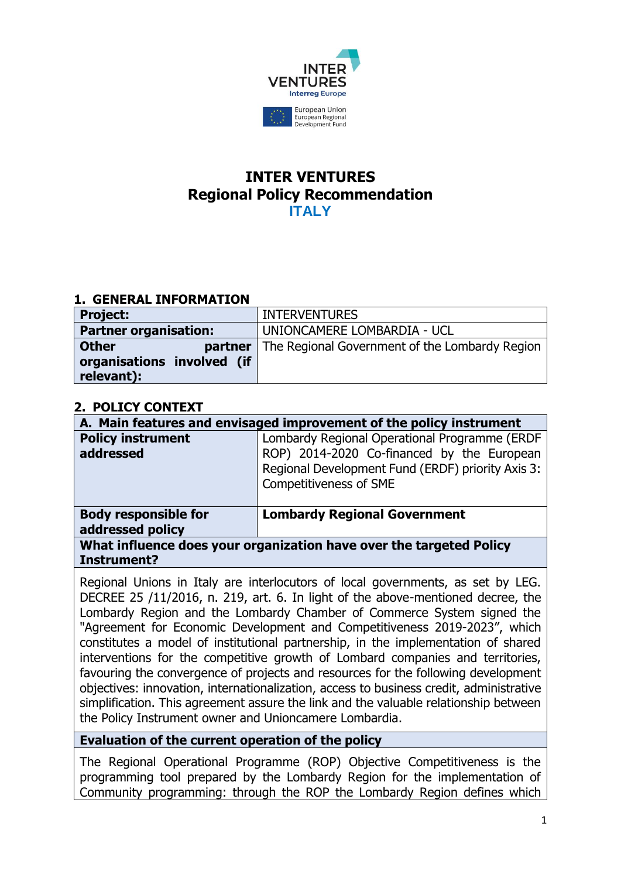

# **INTER VENTURES Regional Policy Recommendation ITALY**

### **1. GENERAL INFORMATION**

| <b>Project:</b>              | <b>INTERVENTURES</b>                                            |
|------------------------------|-----------------------------------------------------------------|
| <b>Partner organisation:</b> | UNIONCAMERE LOMBARDIA - UCL                                     |
| <b>Other</b>                 | <b>partner</b>   The Regional Government of the Lombardy Region |
| organisations involved (if   |                                                                 |
| relevant):                   |                                                                 |

### **2. POLICY CONTEXT**

| A. Main features and envisaged improvement of the policy instrument |                                                                                                                           |
|---------------------------------------------------------------------|---------------------------------------------------------------------------------------------------------------------------|
| <b>Policy instrument</b>                                            | Lombardy Regional Operational Programme (ERDF                                                                             |
| addressed                                                           | ROP) 2014-2020 Co-financed by the European<br>Regional Development Fund (ERDF) priority Axis 3:<br>Competitiveness of SME |
| <b>Body responsible for</b><br>addressed policy                     | <b>Lombardy Regional Government</b>                                                                                       |
| What influence does your organization have over the targeted Policy |                                                                                                                           |

### **Instrument?**

Regional Unions in Italy are interlocutors of local governments, as set by LEG. DECREE 25 /11/2016, n. 219, art. 6. In light of the above-mentioned decree, the Lombardy Region and the Lombardy Chamber of Commerce System signed the "Agreement for Economic Development and Competitiveness 2019-2023", which constitutes a model of institutional partnership, in the implementation of shared interventions for the competitive growth of Lombard companies and territories, favouring the convergence of projects and resources for the following development objectives: innovation, internationalization, access to business credit, administrative simplification. This agreement assure the link and the valuable relationship between the Policy Instrument owner and Unioncamere Lombardia.

### **Evaluation of the current operation of the policy**

The Regional Operational Programme (ROP) Objective Competitiveness is the programming tool prepared by the Lombardy Region for the implementation of Community programming: through the ROP the Lombardy Region defines which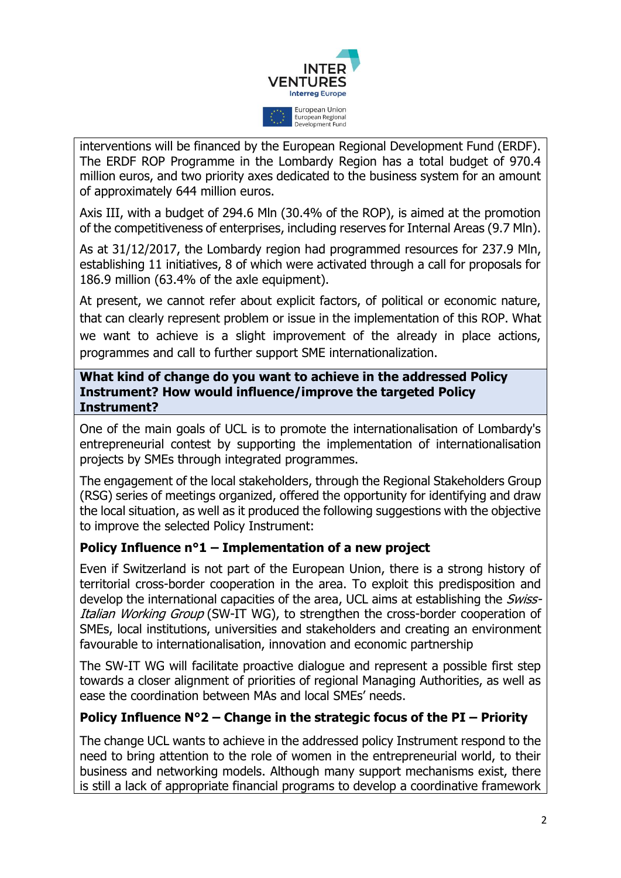

interventions will be financed by the European Regional Development Fund (ERDF). The ERDF ROP Programme in the Lombardy Region has a total budget of 970.4 million euros, and two priority axes dedicated to the business system for an amount of approximately 644 million euros.

Axis III, with a budget of 294.6 Mln (30.4% of the ROP), is aimed at the promotion of the competitiveness of enterprises, including reserves for Internal Areas (9.7 Mln).

As at 31/12/2017, the Lombardy region had programmed resources for 237.9 Mln, establishing 11 initiatives, 8 of which were activated through a call for proposals for 186.9 million (63.4% of the axle equipment).

At present, we cannot refer about explicit factors, of political or economic nature, that can clearly represent problem or issue in the implementation of this ROP. What we want to achieve is a slight improvement of the already in place actions, programmes and call to further support SME internationalization.

### **What kind of change do you want to achieve in the addressed Policy Instrument? How would influence/improve the targeted Policy Instrument?**

One of the main goals of UCL is to promote the internationalisation of Lombardy's entrepreneurial contest by supporting the implementation of internationalisation projects by SMEs through integrated programmes.

The engagement of the local stakeholders, through the Regional Stakeholders Group (RSG) series of meetings organized, offered the opportunity for identifying and draw the local situation, as well as it produced the following suggestions with the objective to improve the selected Policy Instrument:

## **Policy Influence n°1 – Implementation of a new project**

Even if Switzerland is not part of the European Union, there is a strong history of territorial cross-border cooperation in the area. To exploit this predisposition and develop the international capacities of the area, UCL aims at establishing the Swiss-Italian Working Group (SW-IT WG), to strengthen the cross-border cooperation of SMEs, local institutions, universities and stakeholders and creating an environment favourable to internationalisation, innovation and economic partnership

The SW-IT WG will facilitate proactive dialogue and represent a possible first step towards a closer alignment of priorities of regional Managing Authorities, as well as ease the coordination between MAs and local SMEs' needs.

## **Policy Influence N°2 – Change in the strategic focus of the PI – Priority**

The change UCL wants to achieve in the addressed policy Instrument respond to the need to bring attention to the role of women in the entrepreneurial world, to their business and networking models. Although many support mechanisms exist, there is still a lack of appropriate financial programs to develop a coordinative framework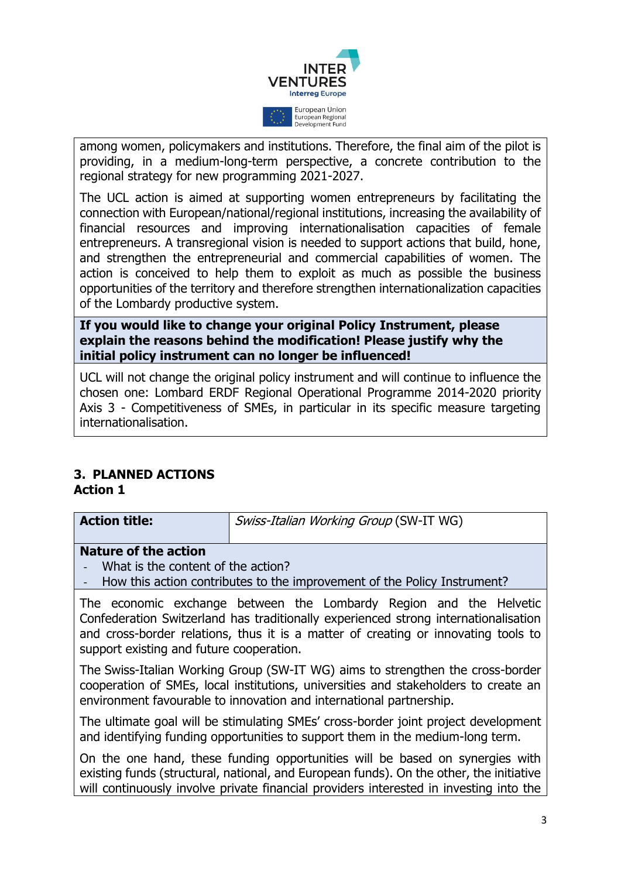

among women, policymakers and institutions. Therefore, the final aim of the pilot is providing, in a medium-long-term perspective, a concrete contribution to the regional strategy for new programming 2021-2027.

The UCL action is aimed at supporting women entrepreneurs by facilitating the connection with European/national/regional institutions, increasing the availability of financial resources and improving internationalisation capacities of female entrepreneurs. A transregional vision is needed to support actions that build, hone, and strengthen the entrepreneurial and commercial capabilities of women. The action is conceived to help them to exploit as much as possible the business opportunities of the territory and therefore strengthen internationalization capacities of the Lombardy productive system.

**If you would like to change your original Policy Instrument, please explain the reasons behind the modification! Please justify why the initial policy instrument can no longer be influenced!**

UCL will not change the original policy instrument and will continue to influence the chosen one: Lombard ERDF Regional Operational Programme 2014-2020 priority Axis 3 - Competitiveness of SMEs, in particular in its specific measure targeting internationalisation.

# **3. PLANNED ACTIONS**

## **Action 1**

| <b>Action title:</b> | Swiss-Italian Working Group (SW-IT WG) |
|----------------------|----------------------------------------|
|                      |                                        |

## **Nature of the action**

- What is the content of the action?
- How this action contributes to the improvement of the Policy Instrument?

The economic exchange between the Lombardy Region and the Helvetic Confederation Switzerland has traditionally experienced strong internationalisation and cross-border relations, thus it is a matter of creating or innovating tools to support existing and future cooperation.

The Swiss-Italian Working Group (SW-IT WG) aims to strengthen the cross-border cooperation of SMEs, local institutions, universities and stakeholders to create an environment favourable to innovation and international partnership.

The ultimate goal will be stimulating SMEs' cross-border joint project development and identifying funding opportunities to support them in the medium-long term.

On the one hand, these funding opportunities will be based on synergies with existing funds (structural, national, and European funds). On the other, the initiative will continuously involve private financial providers interested in investing into the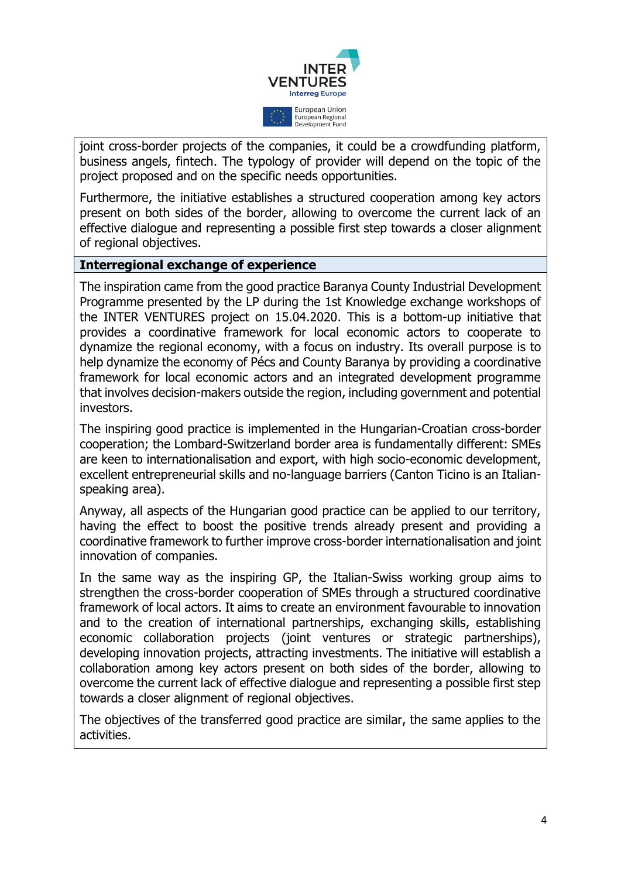

joint cross-border projects of the companies, it could be a crowdfunding platform, business angels, fintech. The typology of provider will depend on the topic of the project proposed and on the specific needs opportunities.

Furthermore, the initiative establishes a structured cooperation among key actors present on both sides of the border, allowing to overcome the current lack of an effective dialogue and representing a possible first step towards a closer alignment of regional objectives.

#### **Interregional exchange of experience**

The inspiration came from the good practice Baranya County Industrial Development Programme presented by the LP during the 1st Knowledge exchange workshops of the INTER VENTURES project on 15.04.2020. This is a bottom-up initiative that provides a coordinative framework for local economic actors to cooperate to dynamize the regional economy, with a focus on industry. Its overall purpose is to help dynamize the economy of Pécs and County Baranya by providing a coordinative framework for local economic actors and an integrated development programme that involves decision-makers outside the region, including government and potential investors.

The inspiring good practice is implemented in the Hungarian-Croatian cross-border cooperation; the Lombard-Switzerland border area is fundamentally different: SMEs are keen to internationalisation and export, with high socio-economic development, excellent entrepreneurial skills and no-language barriers (Canton Ticino is an Italianspeaking area).

Anyway, all aspects of the Hungarian good practice can be applied to our territory, having the effect to boost the positive trends already present and providing a coordinative framework to further improve cross-border internationalisation and joint innovation of companies.

In the same way as the inspiring GP, the Italian-Swiss working group aims to strengthen the cross-border cooperation of SMEs through a structured coordinative framework of local actors. It aims to create an environment favourable to innovation and to the creation of international partnerships, exchanging skills, establishing economic collaboration projects (joint ventures or strategic partnerships), developing innovation projects, attracting investments. The initiative will establish a collaboration among key actors present on both sides of the border, allowing to overcome the current lack of effective dialogue and representing a possible first step towards a closer alignment of regional objectives.

The objectives of the transferred good practice are similar, the same applies to the activities.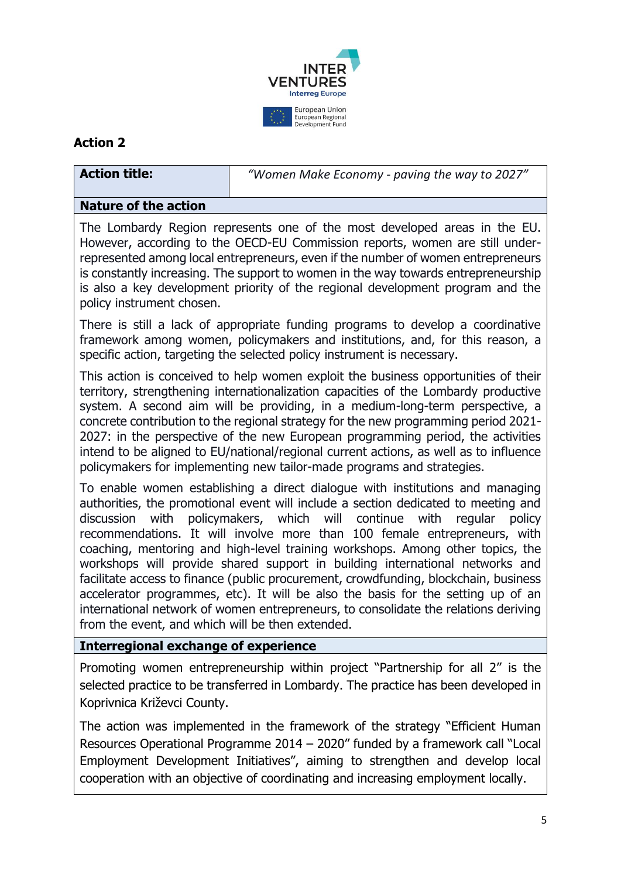

## **Action 2**

**Action title:** *"Women Make Economy - paving the way to 2027"*

## **Nature of the action**

The Lombardy Region represents one of the most developed areas in the EU. However, according to the OECD-EU Commission reports, women are still underrepresented among local entrepreneurs, even if the number of women entrepreneurs is constantly increasing. The support to women in the way towards entrepreneurship is also a key development priority of the regional development program and the policy instrument chosen.

There is still a lack of appropriate funding programs to develop a coordinative framework among women, policymakers and institutions, and, for this reason, a specific action, targeting the selected policy instrument is necessary.

This action is conceived to help women exploit the business opportunities of their territory, strengthening internationalization capacities of the Lombardy productive system. A second aim will be providing, in a medium-long-term perspective, a concrete contribution to the regional strategy for the new programming period 2021- 2027: in the perspective of the new European programming period, the activities intend to be aligned to EU/national/regional current actions, as well as to influence policymakers for implementing new tailor-made programs and strategies.

To enable women establishing a direct dialogue with institutions and managing authorities, the promotional event will include a section dedicated to meeting and discussion with policymakers, which will continue with regular policy recommendations. It will involve more than 100 female entrepreneurs, with coaching, mentoring and high-level training workshops. Among other topics, the workshops will provide shared support in building international networks and facilitate access to finance (public procurement, crowdfunding, blockchain, business accelerator programmes, etc). It will be also the basis for the setting up of an international network of women entrepreneurs, to consolidate the relations deriving from the event, and which will be then extended.

## **Interregional exchange of experience**

Promoting women entrepreneurship within project "Partnership for all 2" is the selected practice to be transferred in Lombardy. The practice has been developed in Koprivnica Križevci County.

The action was implemented in the framework of the strategy "Efficient Human Resources Operational Programme 2014 – 2020" funded by a framework call "Local Employment Development Initiatives", aiming to strengthen and develop local cooperation with an objective of coordinating and increasing employment locally.